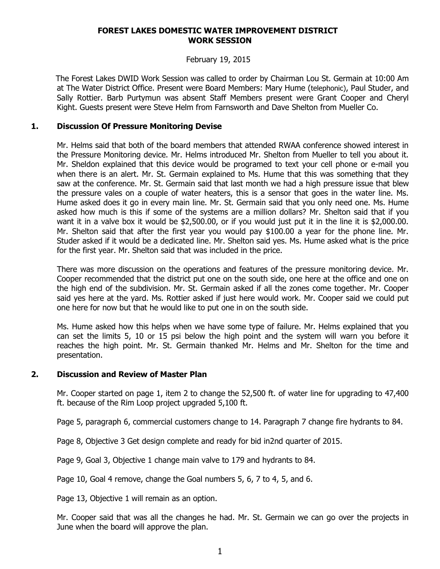#### **FOREST LAKES DOMESTIC WATER IMPROVEMENT DISTRICT WORK SESSION**

### February 19, 2015

 The Forest Lakes DWID Work Session was called to order by Chairman Lou St. Germain at 10:00 Am at The Water District Office. Present were Board Members: Mary Hume (telephonic), Paul Studer, and Sally Rottier. Barb Purtymun was absent Staff Members present were Grant Cooper and Cheryl Kight. Guests present were Steve Helm from Farnsworth and Dave Shelton from Mueller Co.

## **1. Discussion Of Pressure Monitoring Devise**

Mr. Helms said that both of the board members that attended RWAA conference showed interest in the Pressure Monitoring device. Mr. Helms introduced Mr. Shelton from Mueller to tell you about it. Mr. Sheldon explained that this device would be programed to text your cell phone or e-mail you when there is an alert. Mr. St. Germain explained to Ms. Hume that this was something that they saw at the conference. Mr. St. Germain said that last month we had a high pressure issue that blew the pressure vales on a couple of water heaters, this is a sensor that goes in the water line. Ms. Hume asked does it go in every main line. Mr. St. Germain said that you only need one. Ms. Hume asked how much is this if some of the systems are a million dollars? Mr. Shelton said that if you want it in a valve box it would be \$2,500.00, or if you would just put it in the line it is \$2,000.00. Mr. Shelton said that after the first year you would pay \$100.00 a year for the phone line. Mr. Studer asked if it would be a dedicated line. Mr. Shelton said yes. Ms. Hume asked what is the price for the first year. Mr. Shelton said that was included in the price.

There was more discussion on the operations and features of the pressure monitoring device. Mr. Cooper recommended that the district put one on the south side, one here at the office and one on the high end of the subdivision. Mr. St. Germain asked if all the zones come together. Mr. Cooper said yes here at the yard. Ms. Rottier asked if just here would work. Mr. Cooper said we could put one here for now but that he would like to put one in on the south side.

Ms. Hume asked how this helps when we have some type of failure. Mr. Helms explained that you can set the limits 5, 10 or 15 psi below the high point and the system will warn you before it reaches the high point. Mr. St. Germain thanked Mr. Helms and Mr. Shelton for the time and presentation.

### **2. Discussion and Review of Master Plan**

Mr. Cooper started on page 1, item 2 to change the 52,500 ft. of water line for upgrading to 47,400 ft. because of the Rim Loop project upgraded 5,100 ft.

Page 5, paragraph 6, commercial customers change to 14. Paragraph 7 change fire hydrants to 84.

Page 8, Objective 3 Get design complete and ready for bid in2nd quarter of 2015.

Page 9, Goal 3, Objective 1 change main valve to 179 and hydrants to 84.

Page 10, Goal 4 remove, change the Goal numbers 5, 6, 7 to 4, 5, and 6.

Page 13, Objective 1 will remain as an option.

Mr. Cooper said that was all the changes he had. Mr. St. Germain we can go over the projects in June when the board will approve the plan.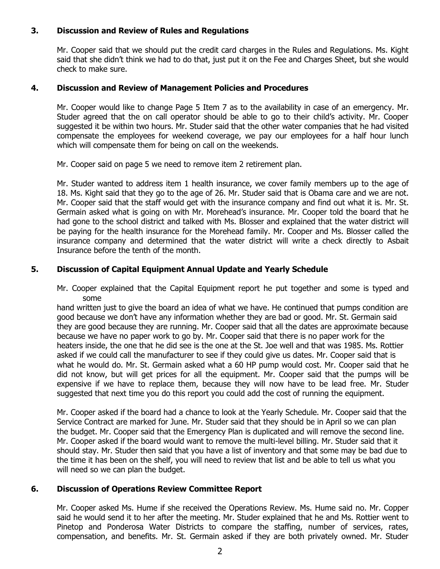# **3. Discussion and Review of Rules and Regulations**

Mr. Cooper said that we should put the credit card charges in the Rules and Regulations. Ms. Kight said that she didn't think we had to do that, just put it on the Fee and Charges Sheet, but she would check to make sure.

### **4. Discussion and Review of Management Policies and Procedures**

Mr. Cooper would like to change Page 5 Item 7 as to the availability in case of an emergency. Mr. Studer agreed that the on call operator should be able to go to their child's activity. Mr. Cooper suggested it be within two hours. Mr. Studer said that the other water companies that he had visited compensate the employees for weekend coverage, we pay our employees for a half hour lunch which will compensate them for being on call on the weekends.

Mr. Cooper said on page 5 we need to remove item 2 retirement plan.

Mr. Studer wanted to address item 1 health insurance, we cover family members up to the age of 18. Ms. Kight said that they go to the age of 26. Mr. Studer said that is Obama care and we are not. Mr. Cooper said that the staff would get with the insurance company and find out what it is. Mr. St. Germain asked what is going on with Mr. Morehead's insurance. Mr. Cooper told the board that he had gone to the school district and talked with Ms. Blosser and explained that the water district will be paying for the health insurance for the Morehead family. Mr. Cooper and Ms. Blosser called the insurance company and determined that the water district will write a check directly to Asbait Insurance before the tenth of the month.

## **5. Discussion of Capital Equipment Annual Update and Yearly Schedule**

Mr. Cooper explained that the Capital Equipment report he put together and some is typed and some

hand written just to give the board an idea of what we have. He continued that pumps condition are good because we don't have any information whether they are bad or good. Mr. St. Germain said they are good because they are running. Mr. Cooper said that all the dates are approximate because because we have no paper work to go by. Mr. Cooper said that there is no paper work for the heaters inside, the one that he did see is the one at the St. Joe well and that was 1985. Ms. Rottier asked if we could call the manufacturer to see if they could give us dates. Mr. Cooper said that is what he would do. Mr. St. Germain asked what a 60 HP pump would cost. Mr. Cooper said that he did not know, but will get prices for all the equipment. Mr. Cooper said that the pumps will be expensive if we have to replace them, because they will now have to be lead free. Mr. Studer suggested that next time you do this report you could add the cost of running the equipment.

Mr. Cooper asked if the board had a chance to look at the Yearly Schedule. Mr. Cooper said that the Service Contract are marked for June. Mr. Studer said that they should be in April so we can plan the budget. Mr. Cooper said that the Emergency Plan is duplicated and will remove the second line. Mr. Cooper asked if the board would want to remove the multi-level billing. Mr. Studer said that it should stay. Mr. Studer then said that you have a list of inventory and that some may be bad due to the time it has been on the shelf, you will need to review that list and be able to tell us what you will need so we can plan the budget.

### **6. Discussion of Operations Review Committee Report**

Mr. Cooper asked Ms. Hume if she received the Operations Review. Ms. Hume said no. Mr. Copper said he would send it to her after the meeting. Mr. Studer explained that he and Ms. Rottier went to Pinetop and Ponderosa Water Districts to compare the staffing, number of services, rates, compensation, and benefits. Mr. St. Germain asked if they are both privately owned. Mr. Studer